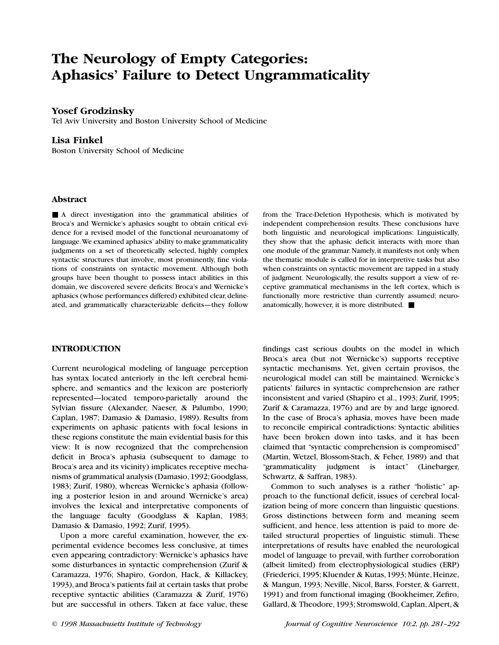# **The Neurology of Empty Categories: Aphasics' Failure to Detect Ungrammaticality**

## **Yosef Grodzinsky**

Tel Aviv University and Boston University School of Medicine

## **Lisa Finkel**

Boston University School of Medicine

#### **Abstract**

■ A direct investigation into the grammatical abilities of Broca's and Wernicke's aphasics sought to obtain critical evidence for a revised model of the functional neuroanatomy of language. We examined aphasics' ability to make grammaticality judgments on a set of theoretically selected, highly complex syntactic structures that involve, most prominently, fine violations of constraints on syntactic movement. Although both groups have been thought to possess intact abilities in this domain, we discovered severe deficits: Broca's and Wernicke's aphasics (whose performances differed) exhibited clear, delineated, and grammatically characterizable deficits—they follow

## **INTRODUCTION**

Current neurological modeling of language perception has syntax located anteriorly in the left cerebral hemisphere, and semantics and the lexicon are posteriorly represented—located temporo-parietally around the Sylvian fissure (Alexander, Naeser, & Palumbo, 1990; Caplan, 1987; Damasio & Damasio, 1989). Results from experiments on aphasic patients with focal lesions in these regions constitute the main evidential basis for this view: It is now recognized that the comprehension deficit in Broca's aphasia (subsequent to damage to Broca's area and its vicinity) implicates receptive mechanisms of grammatical analysis (Damasio, 1992; Goodglass, 1983; Zurif, 1980), whereas Wernicke's aphasia (following a posterior lesion in and around Wernicke's area) involves the lexical and interpretative components of the language faculty (Goodglass & Kaplan, 1983; Damasio & Damasio, 1992; Zurif, 1995).

Upon a more careful examination, however, the experimental evidence becomes less conclusive, at times even appearing contradictory: Wernicke's aphasics have some disturbances in syntactic comprehension (Zurif & Caramazza, 1976; Shapiro, Gordon, Hack, & Killackey, 1993), and Broca's patients fail at certain tasks that probe receptive syntactic abilities (Caramazza & Zurif, 1976) but are successful in others. Taken at face value, these

from the Trace-Deletion Hypothesis, which is motivated by independent comprehension results. These conclusions have both linguistic and neurological implications: Linguistically, they show that the aphasic deficit interacts with more than one module of the grammar. Namely, it manifests not only when the thematic module is called for in interpretive tasks but also when constraints on syntactic movement are tapped in a study of judgment. Neurologically, the results support a view of receptive grammatical mechanisms in the left cortex, which is functionally more restrictive than currently assumed; neuroanatomically, however, it is more distributed. ■

findings cast serious doubts on the model in which Broca's area (but not Wernicke's) supports receptive syntactic mechanisms. Yet, given certain provisos, the neurological model can still be maintained. Wernicke's patients' failures in syntactic comprehension are rather inconsistent and varied (Shapiro et al., 1993; Zurif, 1995; Zurif & Caramazza, 1976) and are by and large ignored. In the case of Broca's aphasia, moves have been made to reconcile empirical contradictions: Syntactic abilities have been broken down into tasks, and it has been claimed that "syntactic comprehension is compromised" (Martin, Wetzel, Blossom-Stach, & Feher, 1989) and that "grammaticality judgment is intact" (Linebarger, Schwartz, & Saffran, 1983).

Common to such analyses is a rather "holistic" approach to the functional deficit, issues of cerebral localization being of more concern than linguistic questions. Gross distinctions between form and meaning seem sufficient, and hence, less attention is paid to more detailed structural properties of linguistic stimuli. These interpretations of results have enabled the neurological model of language to prevail, with further corroboration (albeit limited) from electrophysiological studies (ERP) (Friederici, 1995; Kluender & Kutas, 1993; Münte, Heinze, & Mangun, 1993; Neville, Nicol, Barss, Forster, & Garrett, 1991) and from functional imaging (Bookheimer, Zefiro, Gallard, & Theodore, 1993; Stromswold, Caplan, Alpert, &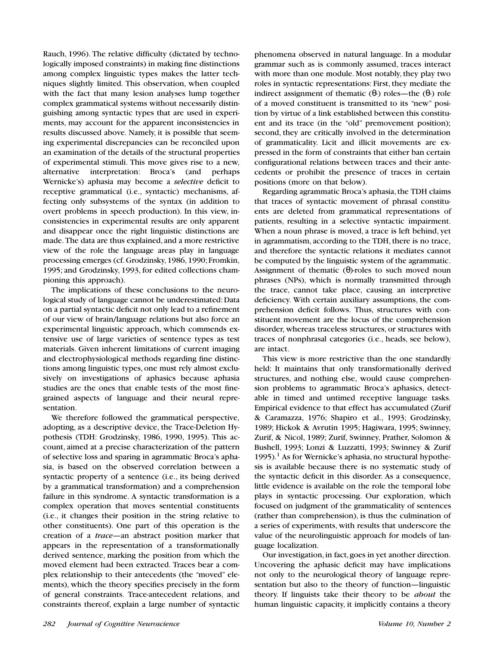Rauch, 1996). The relative difficulty (dictated by technologically imposed constraints) in making fine distinctions among complex linguistic types makes the latter techniques slightly limited. This observation, when coupled with the fact that many lesion analyses lump together complex grammatical systems without necessarily distinguishing among syntactic types that are used in experiments, may account for the apparent inconsistencies in results discussed above. Namely, it is possible that seeming experimental discrepancies can be reconciled upon an examination of the details of the structural properties of experimental stimuli. This move gives rise to a new, alternative interpretation: Broca's (and perhaps Wernicke's) aphasia may become a *selective* deficit to receptive grammatical (i.e., syntactic) mechanisms, affecting only subsystems of the syntax (in addition to overt problems in speech production). In this view, inconsistencies in experimental results are only apparent and disappear once the right linguistic distinctions are made. The data are thus explained, and a more restrictive view of the role the language areas play in language processing emerges (cf. Grodzinsky, 1986, 1990; Fromkin, 1995; and Grodzinsky, 1993, for edited collections championing this approach).

The implications of these conclusions to the neurological study of language cannot be underestimated: Data on a partial syntactic deficit not only lead to a refinement of our view of brain/language relations but also force an experimental linguistic approach, which commends extensive use of large varieties of sentence types as test materials. Given inherent limitations of current imaging and electrophysiological methods regarding fine distinctions among linguistic types, one must rely almost exclusively on investigations of aphasics because aphasia studies are the ones that enable tests of the most finegrained aspects of language and their neural representation.

We therefore followed the grammatical perspective, adopting, as a descriptive device, the Trace-Deletion Hypothesis (TDH: Grodzinsky, 1986, 1990, 1995). This account, aimed at a precise characterization of the pattern of selective loss and sparing in agrammatic Broca's aphasia, is based on the observed correlation between a syntactic property of a sentence (i.e., its being derived by a grammatical transformation) and a comprehension failure in this syndrome. A syntactic transformation is a complex operation that moves sentential constituents (i.e., it changes their position in the string relative to other constituents). One part of this operation is the creation of a *trace*—an abstract position marker that appears in the representation of a transformationally derived sentence, marking the position from which the moved element had been extracted. Traces bear a complex relationship to their antecedents (the "moved" elements), which the theory specifies precisely in the form of general constraints. Trace-antecedent relations, and constraints thereof, explain a large number of syntactic

phenomena observed in natural language. In a modular grammar such as is commonly assumed, traces interact with more than one module. Most notably, they play two roles in syntactic representations: First, they mediate the indirect assignment of thematic (θ-) roles—the (θ-) role of a moved constituent is transmitted to its "new" position by virtue of a link established between this constituent and its trace (in the "old" premovement position); second, they are critically involved in the determination of grammaticality. Licit and illicit movements are expressed in the form of constraints that either ban certain configurational relations between traces and their antecedents or prohibit the presence of traces in certain positions (more on that below).

Regarding agrammatic Broca's aphasia, the TDH claims that traces of syntactic movement of phrasal constituents are deleted from grammatical representations of patients, resulting in a selective syntactic impairment. When a noun phrase is moved, a trace is left behind, yet in agrammatism, according to the TDH, there is no trace, and therefore the syntactic relations it mediates cannot be computed by the linguistic system of the agrammatic. Assignment of thematic  $(\theta)$ -roles to such moved noun phrases (NPs), which is normally transmitted through the trace, cannot take place, causing an interpretive deficiency. With certain auxiliary assumptions, the comprehension deficit follows. Thus, structures with constituent movement are the locus of the comprehension disorder, whereas traceless structures, or structures with traces of nonphrasal categories (i.e., heads, see below), are intact.

This view is more restrictive than the one standardly held: It maintains that only transformationally derived structures, and nothing else, would cause comprehension problems to agrammatic Broca's aphasics, detectable in timed and untimed receptive language tasks. Empirical evidence to that effect has accumulated (Zurif & Caramazza, 1976; Shapiro et al., 1993; Grodzinsky, 1989; Hickok & Avrutin 1995; Hagiwara, 1995; Swinney, Zurif, & Nicol, 1989; Zurif, Swinney, Prather, Solomon & Bushell, 1993; Lonzi & Luzzatti, 1993; Swinney & Zurif 1995).<sup>1</sup> As for Wernicke's aphasia, no structural hypothesis is available because there is no systematic study of the syntactic deficit in this disorder. As a consequence, little evidence is available on the role the temporal lobe plays in syntactic processing. Our exploration, which focused on judgment of the grammaticality of sentences (rather than comprehension), is thus the culmination of a series of experiments, with results that underscore the value of the neurolinguistic approach for models of language localization.

Our investigation, in fact, goes in yet another direction. Uncovering the aphasic deficit may have implications not only to the neurological theory of language representation but also to the theory of function—linguistic theory. If linguists take their theory to be *about* the human linguistic capacity, it implicitly contains a theory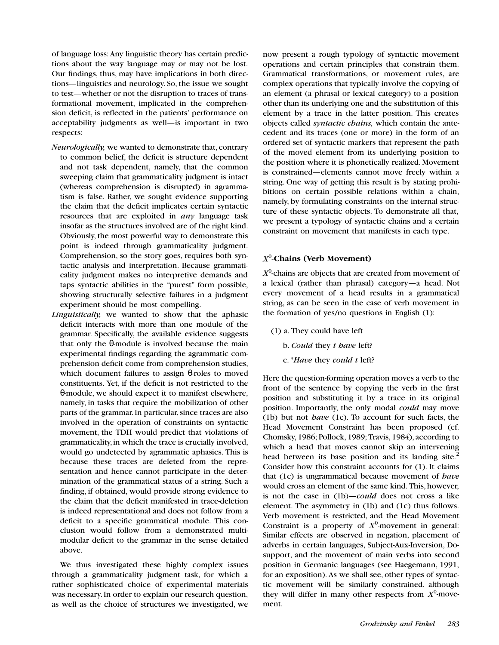of language loss: Any linguistic theory has certain predictions about the way language may or may not be lost. Our findings, thus, may have implications in both directions—linguistics and neurology. So, the issue we sought to test—whether or not the disruption to traces of transformational movement, implicated in the comprehension deficit, is reflected in the patients' performance on acceptability judgments as well—is important in two respects:

- *Neurologically,* we wanted to demonstrate that, contrary to common belief, the deficit is structure dependent and not task dependent, namely, that the common sweeping claim that grammaticality judgment is intact (whereas comprehension is disrupted) in agrammatism is false. Rather, we sought evidence supporting the claim that the deficit implicates certain syntactic resources that are exploited in *any* language task insofar as the structures involved are of the right kind. Obviously, the most powerful way to demonstrate this point is indeed through grammaticality judgment. Comprehension, so the story goes, requires both syntactic analysis and interpretation. Because grammaticality judgment makes no interpretive demands and taps syntactic abilities in the "purest" form possible, showing structurally selective failures in a judgment experiment should be most compelling.
- *Linguistically,* we wanted to show that the aphasic deficit interacts with more than one module of the grammar. Specifically, the available evidence suggests that only the θ-module is involved because the main experimental findings regarding the agrammatic comprehension deficit come from comprehension studies, which document failures to assign θ-roles to moved constituents. Yet, if the deficit is not restricted to the θ-module, we should expect it to manifest elsewhere, namely, in tasks that require the mobilization of other parts of the grammar. In particular, since traces are also involved in the operation of constraints on syntactic movement, the TDH would predict that violations of grammaticality, in which the trace is crucially involved, would go undetected by agrammatic aphasics. This is because these traces are deleted from the representation and hence cannot participate in the determination of the grammatical status of a string. Such a finding, if obtained, would provide strong evidence to the claim that the deficit manifested in trace-deletion is indeed representational and does not follow from a deficit to a specific grammatical module. This conclusion would follow from a demonstrated multimodular deficit to the grammar in the sense detailed above.

We thus investigated these highly complex issues through a grammaticality judgment task, for which a rather sophisticated choice of experimental materials was necessary. In order to explain our research question, as well as the choice of structures we investigated, we now present a rough typology of syntactic movement operations and certain principles that constrain them. Grammatical transformations, or movement rules, are complex operations that typically involve the copying of an element (a phrasal or lexical category) to a position other than its underlying one and the substitution of this element by a trace in the latter position. This creates objects called *syntactic chains,* which contain the antecedent and its traces (one or more) in the form of an ordered set of syntactic markers that represent the path of the moved element from its underlying position to the position where it is phonetically realized. Movement is constrained—elements cannot move freely within a string. One way of getting this result is by stating prohibitions on certain possible relations within a chain, namely, by formulating constraints on the internal structure of these syntactic objects. To demonstrate all that, we present a typology of syntactic chains and a certain constraint on movement that manifests in each type.

# *X*0 **-Chains (Verb Movement)**

*X*0 -chains are objects that are created from movement of a lexical (rather than phrasal) category—a head. Not every movement of a head results in a grammatical string, as can be seen in the case of verb movement in the formation of yes/no questions in English (1):

- (1) a. They could have left
	- b. *Could* they *t have* left?
	- c. \**Have* they *could t* left?

Here the question-forming operation moves a verb to the front of the sentence by copying the verb in the first position and substituting it by a trace in its original position. Importantly, the only modal *could* may move (1b) but not *have* (1c). To account for such facts, the Head Movement Constraint has been proposed (cf. Chomsky, 1986; Pollock, 1989; Travis, 1984), according to which a head that moves cannot skip an intervening head between its base position and its landing site. $2$ Consider how this constraint accounts for (1). It claims that (1c) is ungrammatical because movement of *have* would cross an element of the same kind. This, however, is not the case in (1b)—*could* does not cross a like element. The asymmetry in (1b) and (1c) thus follows. Verb movement is restricted, and the Head Movement Constraint is a property of  $X^0$ -movement in general: Similar effects are observed in negation, placement of adverbs in certain languages, Subject-Aux-Inversion, Dosupport, and the movement of main verbs into second position in Germanic languages (see Haegemann, 1991, for an exposition). As we shall see, other types of syntactic movement will be similarly constrained, although they will differ in many other respects from  $X^0$ -movement.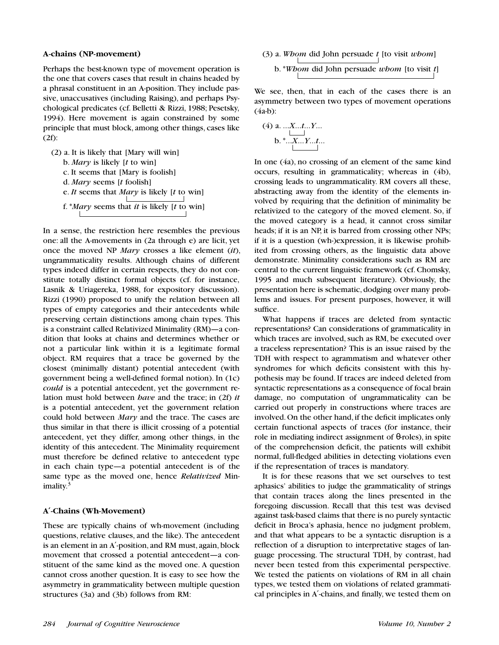### **A-chains (NP-movement)**

Perhaps the best-known type of movement operation is the one that covers cases that result in chains headed by a phrasal constituent in an A-position. They include passive, unaccusatives (including Raising), and perhaps Psychological predicates (cf. Belletti & Rizzi, 1988; Pesetsky, 1994). Here movement is again constrained by some principle that must block, among other things, cases like (2f):

(2) a. It is likely that [Mary will win] b. *Mary* is likely [*t* to win] c. It seems that [Mary is foolish] d. *Mary* seems [*t* foolish] e. *It* seems that *Mary* is likely [*t* to win] f. \**Mary* seems that *it* is likely [*t* to win]

In a sense, the restriction here resembles the previous one: all the A-movements in (2a through e) are licit, yet once the moved NP *Mary* crosses a like element (*it*), ungrammaticality results. Although chains of different types indeed differ in certain respects, they do not constitute totally distinct formal objects (cf. for instance, Lasnik & Uriagereka, 1988, for expository discussion). Rizzi (1990) proposed to unify the relation between all types of empty categories and their antecedents while preserving certain distinctions among chain types. This is a constraint called Relativized Minimality (RM)—a condition that looks at chains and determines whether or not a particular link within it is a legitimate formal object. RM requires that a trace be governed by the closest (minimally distant) potential antecedent (with government being a well-defined formal notion). In (1c) *could* is a potential antecedent, yet the government relation must hold between *have* and the trace; in (2f) *it* is a potential antecedent, yet the government relation could hold between *Mary* and the trace. The cases are thus similar in that there is illicit crossing of a potential antecedent, yet they differ, among other things, in the identity of this antecedent. The Minimality requirement must therefore be defined relative to antecedent type in each chain type—a potential antecedent is of the same type as the moved one, hence *Relativized* Minimality.<sup>3</sup>

## **A**′**-Chains (Wh-Movement)**

These are typically chains of wh-movement (including questions, relative clauses, and the like). The antecedent is an element in an A′-position, and RM must, again, block movement that crossed a potential antecedent—a constituent of the same kind as the moved one. A question cannot cross another question. It is easy to see how the asymmetry in grammaticality between multiple question structures (3a) and (3b) follows from RM:

(3) a. *Whom* did John persuade *t* [to visit *whom*] b. \**Whom* did John persuade *whom* [to visit *t*]

We see, then, that in each of the cases there is an asymmetry between two types of movement operations  $(4a-b)$ :

$$
\begin{array}{c}\n\text{(4) a. ...X...t...Y...} \\
\hline\n\text{b.} \quad \text{...X...Y...t...} \\
\text{b.} \quad \text{...X...Y...t...}\n\end{array}
$$

In one (4a), no crossing of an element of the same kind occurs, resulting in grammaticality; whereas in (4b), crossing leads to ungrammaticality. RM covers all these, abstracting away from the identity of the elements involved by requiring that the definition of minimality be relativized to the category of the moved element. So, if the moved category is a head, it cannot cross similar heads; if it is an NP, it is barred from crossing other NPs; if it is a question (wh-)expression, it is likewise prohibited from crossing others, as the linguistic data above demonstrate. Minimality considerations such as RM are central to the current linguistic framework (cf. Chomsky, 1995 and much subsequent literature). Obviously, the presentation here is schematic, dodging over many problems and issues. For present purposes, however, it will suffice.

What happens if traces are deleted from syntactic representations? Can considerations of grammaticality in which traces are involved, such as RM, be executed over a traceless representation? This is an issue raised by the TDH with respect to agrammatism and whatever other syndromes for which deficits consistent with this hypothesis may be found. If traces are indeed deleted from syntactic representations as a consequence of focal brain damage, no computation of ungrammaticality can be carried out properly in constructions where traces are involved. On the other hand, if the deficit implicates only certain functional aspects of traces (for instance, their role in mediating indirect assignment of θ-roles), in spite of the comprehension deficit, the patients will exhibit normal, full-fledged abilities in detecting violations even if the representation of traces is mandatory.

It is for these reasons that we set ourselves to test aphasics' abilities to judge the grammaticality of strings that contain traces along the lines presented in the foregoing discussion. Recall that this test was devised against task-based claims that there is no purely syntactic deficit in Broca's aphasia, hence no judgment problem, and that what appears to be a syntactic disruption is a reflection of a disruption to interpretative stages of language processing. The structural TDH, by contrast, had never been tested from this experimental perspective. We tested the patients on violations of RM in all chain types, we tested them on violations of related grammatical principles in A'-chains, and finally, we tested them on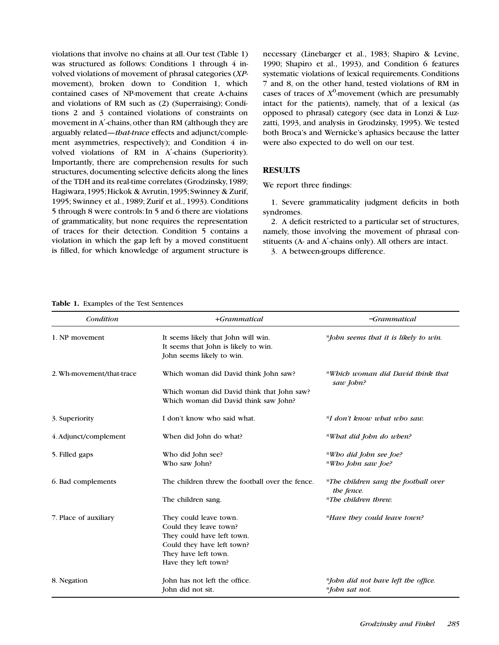violations that involve no chains at all. Our test (Table 1) was structured as follows: Conditions 1 through 4 involved violations of movement of phrasal categories (*XP*movement), broken down to Condition 1, which contained cases of NP-movement that create A-chains and violations of RM such as (2) (Superraising); Conditions 2 and 3 contained violations of constraints on movement in A′-chains, other than RM (although they are arguably related—*that-trace* effects and adjunct/complement asymmetries, respectively); and Condition 4 involved violations of RM in A′-chains (Superiority). Importantly, there are comprehension results for such structures, documenting selective deficits along the lines of the TDH and its real-time correlates (Grodzinsky, 1989; Hagiwara, 1995; Hickok & Avrutin, 1995; Swinney & Zurif, 1995; Swinney et al., 1989; Zurif et al., 1993). Conditions 5 through 8 were controls: In 5 and 6 there are violations of grammaticality, but none requires the representation of traces for their detection. Condition 5 contains a violation in which the gap left by a moved constituent is filled, for which knowledge of argument structure is necessary (Linebarger et al., 1983; Shapiro & Levine, 1990; Shapiro et al., 1993), and Condition 6 features systematic violations of lexical requirements. Conditions 7 and 8, on the other hand, tested violations of RM in cases of traces of  $X^0$ -movement (which are presumably intact for the patients), namely, that of a lexical (as opposed to phrasal) category (see data in Lonzi & Luzzatti, 1993, and analysis in Grodzinsky, 1995). We tested both Broca's and Wernicke's aphasics because the latter were also expected to do well on our test.

# **RESULTS**

We report three findings:

1. Severe grammaticality judgment deficits in both syndromes.

2. A deficit restricted to a particular set of structures, namely, those involving the movement of phrasal constituents (A- and A′-chains only). All others are intact.

3. A between-groups difference.

| Condition                 | +Grammatical                                                                                             | $-Grammatical$                                            |
|---------------------------|----------------------------------------------------------------------------------------------------------|-----------------------------------------------------------|
| 1. NP movement            | It seems likely that John will win.<br>It seems that John is likely to win.<br>John seems likely to win. | *John seems that it is likely to win.                     |
| 2. Wh-movement/that-trace | Which woman did David think John saw?                                                                    | *Which woman did David think that<br>saw John?            |
|                           | Which woman did David think that John saw?<br>Which woman did David think saw John?                      |                                                           |
| 3. Superiority            | I don't know who said what.                                                                              | *I don't know what who saw.                               |
| 4. Adjunct/complement     | When did John do what?                                                                                   | *What did John do when?                                   |
| 5. Filled gaps            | Who did John see?                                                                                        | *Who did John see Joe?                                    |
|                           | Who saw John?                                                                                            | *Who John saw Joe?                                        |
| 6. Bad complements        | The children threw the football over the fence.                                                          | <i>*The children sang the football over</i><br>the fence. |
|                           | The children sang.                                                                                       | *The children threw.                                      |
| 7. Place of auxiliary     | They could leave town.                                                                                   | *Have they could leave town?                              |
|                           | Could they leave town?                                                                                   |                                                           |
|                           | They could have left town.                                                                               |                                                           |
|                           | Could they have left town?                                                                               |                                                           |
|                           | They have left town.                                                                                     |                                                           |
|                           | Have they left town?                                                                                     |                                                           |
| 8. Negation               | John has not left the office.                                                                            | *John did not have left the office.                       |
|                           | John did not sit.                                                                                        | *John sat not.                                            |

**Table 1.** Examples of the Test Sentences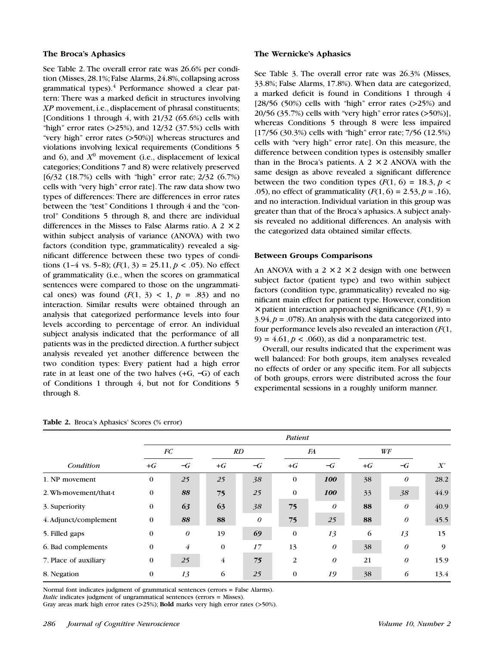### **The Broca's Aphasics**

See Table 2. The overall error rate was 26.6% per condition (Misses, 28.1%; False Alarms, 24.8%, collapsing across grammatical types). $\frac{4}{3}$  Performance showed a clear pattern: There was a marked deficit in structures involving *XP* movement, i.e., displacement of phrasal constituents; [Conditions 1 through 4, with  $21/32$  (65.6%) cells with "high" error rates  $(>25\%)$ , and  $12/32$   $(37.5\%)$  cells with "very high" error rates (>50%)] whereas structures and violations involving lexical requirements (Conditions 5 and 6), and  $X^0$  movement (i.e., displacement of lexical categories; Conditions 7 and 8) were relatively preserved [6/32 (18.7%) cells with "high" error rate; 2/32 (6.7%) cells with "very high" error rate]. The raw data show two types of differences: There are differences in error rates between the "test" Conditions 1 through 4 and the "control" Conditions 5 through 8, and there are individual differences in the Misses to False Alarms ratio. A  $2 \times 2$ within subject analysis of variance (ANOVA) with two factors (condition type, grammaticality) revealed a significant difference between these two types of conditions  $(1-4 \text{ vs. } 5-8)$ ;  $(F(1, 3) = 25.11, p < .05)$ . No effect of grammaticality (i.e., when the scores on grammatical sentences were compared to those on the ungrammatical ones) was found  $(F(1, 3) < 1, p = .83)$  and no interaction. Similar results were obtained through an analysis that categorized performance levels into four levels according to percentage of error. An individual subject analysis indicated that the performance of all patients was in the predicted direction. A further subject analysis revealed yet another difference between the two condition types: Every patient had a high error rate in at least one of the two halves (+G, −G) of each of Conditions 1 through 4, but not for Conditions 5 through 8.

### **The Wernicke's Aphasics**

See Table 3. The overall error rate was 26.3% (Misses, 33.8%; False Alarms, 17.8%). When data are categorized, a marked deficit is found in Conditions 1 through  $4$  $[28/56 (50%)$  cells with "high" error rates  $(>25%)$  and 20/56 (35.7%) cells with "very high" error rates (>50%)], whereas Conditions 5 through 8 were less impaired [17/56 (30.3%) cells with "high" error rate; 7/56 (12.5%) cells with "very high" error rate]. On this measure, the difference between condition types is ostensibly smaller than in the Broca's patients. A  $2 \times 2$  ANOVA with the same design as above revealed a significant difference between the two condition types  $(F(1, 6) = 18.3, p <$ .05), no effect of grammaticality  $(F(1, 6) = 2.53, p = .16)$ , and no interaction. Individual variation in this group was greater than that of the Broca's aphasics. A subject analysis revealed no additional differences. An analysis with the categorized data obtained similar effects.

#### **Between Groups Comparisons**

An ANOVA with a  $2 \times 2 \times 2$  design with one between subject factor (patient type) and two within subject factors (condition type, grammaticality) revealed no significant main effect for patient type. However, condition  $\times$  patient interaction approached significance ( $F(1, 9) =$  $3.94, p = .078$ ). An analysis with the data categorized into four performance levels also revealed an interaction (*F*(1,  $9$ ) = 4.61,  $p < .060$ ), as did a nonparametric test.

Overall, our results indicated that the experiment was well balanced: For both groups, item analyses revealed no effects of order or any specific item. For all subjects of both groups, errors were distributed across the four experimental sessions in a roughly uniform manner.

|                       | Patient      |                       |                |          |              |            |      |                       |      |  |  |
|-----------------------|--------------|-----------------------|----------------|----------|--------------|------------|------|-----------------------|------|--|--|
|                       | FC           |                       |                | RD       |              | FA         |      | WF                    |      |  |  |
| Condition             | $+G$         | $-G$                  | $+G$           | $-G$     | $+G$         | $-G$       | $+G$ | $-G$                  | X'   |  |  |
| 1. NP movement        | $\mathbf{0}$ | 25                    | 25             | 38       | $\mathbf{0}$ | 100        | 38   | $\theta$              | 28.2 |  |  |
| 2. Wh-movement/that-t | $\mathbf{0}$ | 88                    | 75             | 25       | $\mathbf{0}$ | <b>100</b> | 33   | 38                    | 44.9 |  |  |
| 3. Superiority        | $\mathbf{0}$ | 63                    | 63             | 38       | 75           | $\theta$   | 88   | $\theta$              | 40.9 |  |  |
| 4. Adjunct/complement | $\mathbf{0}$ | 88                    | 88             | $\theta$ | 75           | 25         | 88   | $\boldsymbol{\theta}$ | 45.5 |  |  |
| 5. Filled gaps        | $\mathbf{0}$ | $\boldsymbol{\theta}$ | 19             | 69       | $\mathbf{0}$ | 13         | 6    | 13                    | 15   |  |  |
| 6. Bad complements    | $\Omega$     | 4                     | $\mathbf{0}$   | 17       | 13           | $\theta$   | 38   | $\boldsymbol{\theta}$ | 9    |  |  |
| 7. Place of auxiliary | $\mathbf{0}$ | 25                    | $\overline{4}$ | 75       | 2            | $\theta$   | 21   | $\theta$              | 15.9 |  |  |
| 8. Negation           | $\mathbf{0}$ | 13                    | 6              | 25       | $\mathbf{0}$ | 19         | 38   | 6                     | 13.4 |  |  |

Normal font indicates judgment of grammatical sentences (errors = False Alarms). *Italic* indicates judgment of ungrammatical sentences (errors = Misses). Gray areas mark high error rates (>25%); **Bold** marks very high error rates (>50%).

**Table 2.** Broca's Aphasics' Scores (% error)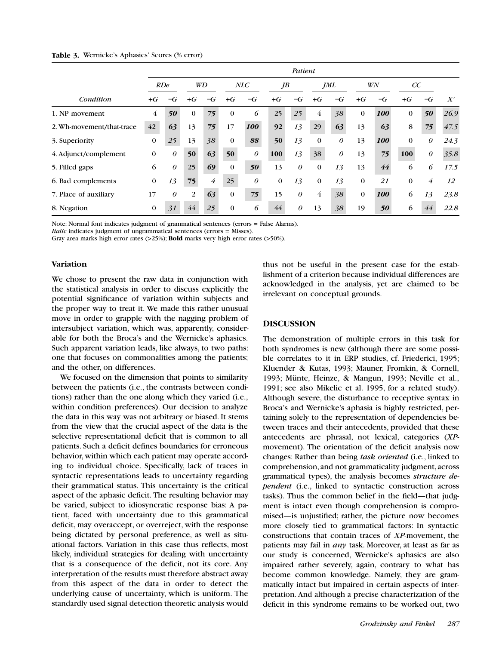**Table 3.** Wernicke's Aphasics' Scores (% error)

|                           |                    | Patient  |          |                |              |          |              |          |              |          |          |            |              |             |              |
|---------------------------|--------------------|----------|----------|----------------|--------------|----------|--------------|----------|--------------|----------|----------|------------|--------------|-------------|--------------|
|                           | <b>RDe</b>         |          | WD       |                | NLC          |          | JB           |          | JML          |          | WN       |            | cc           |             |              |
| Condition                 | $\pm G$            | $-G$     | $+G$     | $-G$           | $+G$         | $-G$     | $+G$         | $-G$     | $+G$         | $-G$     | $+G$     | $-G$       | $+G$         | $-\epsilon$ | $X^{\prime}$ |
| 1. NP movement            | 4                  | 50       | $\theta$ | 75             | $\Omega$     | 6        | 25           | 25       | 4            | 38       | $\theta$ | 100        | $\mathbf{0}$ | 50          | 26.9         |
| 2. Wh-movement/that-trace | 42                 |          | 13       | 75             | 17           | 100      | 92           | 13       | 29           | 63       | 13       | 63         | 8            | 75          | 47.5         |
| 3. Superiority            | 25<br>$\mathbf{0}$ |          | 13       | 38             | $\Omega$     | 88       | 50           | 13       | $\theta$     | 0        | 13       | 100        | $\theta$     | $\theta$    | 24.3         |
| 4. Adjunct/complement     | $\theta$           | 0        | 50       | 63             | 50           | $\theta$ | <b>100</b>   | 13       | 38           | $\theta$ | 13       | 75         | 100          | $\theta$    | 35.8         |
| 5. Filled gaps            | 6                  | $\theta$ | 25       | 69             | $\Omega$     | 50       | 13           | 0        | $\mathbf{0}$ | 13       | 13       | 44         | 6            | 6           | 17.5         |
| 6. Bad complements        | $\mathbf{0}$       | 13       | 75       | $\overline{4}$ | 25           | $\theta$ | $\mathbf{0}$ | 13       | $\Omega$     | 13       | $\theta$ | 21         | $\mathbf{0}$ | 4           | 12           |
| 7. Place of auxiliary     | 17                 | $\theta$ | 2        | 63             | $\mathbf{0}$ | 75       | 15           | $\theta$ | 4            | 38       | $\Omega$ | <b>100</b> | 6            | 13          | 23.8         |
| 8. Negation               | $\mathbf{0}$       | 31       | 44       | 25             | $\mathbf{0}$ | 6        | 44           | $\theta$ | 13           | 38       | 19       | 50         | 6            | 44          | 22.8         |

Note: Normal font indicates judgment of grammatical sentences (errors = False Alarms).

*Italic* indicates judgment of ungrammatical sentences (errors = Misses).

Gray area marks high error rates (>25%); **Bold** marks very high error rates (>50%).

#### **Variation**

We chose to present the raw data in conjunction with the statistical analysis in order to discuss explicitly the potential significance of variation within subjects and the proper way to treat it. We made this rather unusual move in order to grapple with the nagging problem of intersubject variation, which was, apparently, considerable for both the Broca's and the Wernicke's aphasics. Such apparent variation leads, like always, to two paths: one that focuses on commonalities among the patients; and the other, on differences.

We focused on the dimension that points to similarity between the patients (i.e., the contrasts between conditions) rather than the one along which they varied (i.e., within condition preferences). Our decision to analyze the data in this way was not arbitrary or biased. It stems from the view that the crucial aspect of the data is the selective representational deficit that is common to all patients. Such a deficit defines boundaries for erroneous behavior, within which each patient may operate according to individual choice. Specifically, lack of traces in syntactic representations leads to uncertainty regarding their grammatical status. This uncertainty is the critical aspect of the aphasic deficit. The resulting behavior may be varied, subject to idiosyncratic response bias: A patient, faced with uncertainty due to this grammatical deficit, may overaccept, or overreject, with the response being dictated by personal preference, as well as situational factors. Variation in this case thus reflects, most likely, individual strategies for dealing with uncertainty that is a consequence of the deficit, not its core. Any interpretation of the results must therefore abstract away from this aspect of the data in order to detect the underlying cause of uncertainty, which is uniform. The standardly used signal detection theoretic analysis would thus not be useful in the present case for the establishment of a criterion because individual differences are acknowledged in the analysis, yet are claimed to be irrelevant on conceptual grounds.

#### **DISCUSSION**

The demonstration of multiple errors in this task for both syndromes is new (although there are some possible correlates to it in ERP studies, cf. Friederici, 1995; Kluender & Kutas, 1993; Mauner, Fromkin, & Cornell, 1993; Münte, Heinze, & Mangun, 1993; Neville et al., 1991; see also Mikelic et al. 1995, for a related study). Although severe, the disturbance to receptive syntax in Broca's and Wernicke's aphasia is highly restricted, pertaining solely to the representation of dependencies between traces and their antecedents, provided that these antecedents are phrasal, not lexical, categories (*XP*movement). The orientation of the deficit analysis now changes: Rather than being *task oriented* (i.e., linked to comprehension, and not grammaticality judgment, across grammatical types), the analysis becomes *structure dependent* (i.e., linked to syntactic construction across tasks). Thus the common belief in the field—that judgment is intact even though comprehension is compromised—is unjustified; rather, the picture now becomes more closely tied to grammatical factors: In syntactic constructions that contain traces of *XP*-movement, the patients may fail in *any* task. Moreover, at least as far as our study is concerned, Wernicke's aphasics are also impaired rather severely, again, contrary to what has become common knowledge. Namely, they are grammatically intact but impaired in certain aspects of interpretation. And although a precise characterization of the deficit in this syndrome remains to be worked out, two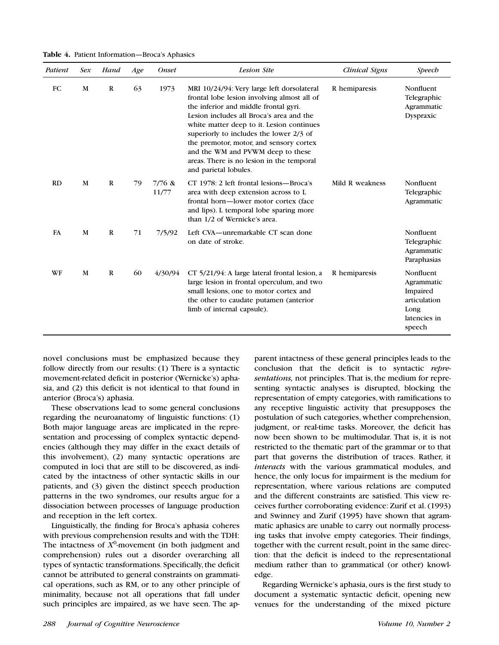**Table 4.** Patient Information—Broca's Aphasics

| Patient   | Sex | Hand         | Age | <b>Onset</b>      | <b>Lesion Site</b>                                                                                                                                                                                                                                                                                                                                                                                                           | Clinical Signs  | <b>Speech</b>                                                                         |
|-----------|-----|--------------|-----|-------------------|------------------------------------------------------------------------------------------------------------------------------------------------------------------------------------------------------------------------------------------------------------------------------------------------------------------------------------------------------------------------------------------------------------------------------|-----------------|---------------------------------------------------------------------------------------|
| FC        | M   | R            | 63  | 1973              | MRI 10/24/94: Very large left dorsolateral<br>frontal lobe lesion involving almost all of<br>the inferior and middle frontal gyri.<br>Lesion includes all Broca's area and the<br>white matter deep to it. Lesion continues<br>superiorly to includes the lower 2/3 of<br>the premotor, motor, and sensory cortex<br>and the WM and PVWM deep to these<br>areas. There is no lesion in the temporal<br>and parietal lobules. | R hemiparesis   | Nonfluent<br>Telegraphic<br>Agrammatic<br>Dyspraxic                                   |
| <b>RD</b> | M   | R            | 79  | $7/76$ &<br>11/77 | CT 1978: 2 left frontal lesions—Broca's<br>area with deep extension across to L<br>frontal horn-lower motor cortex (face<br>and lips). L temporal lobe sparing more<br>than 1/2 of Wernicke's area.                                                                                                                                                                                                                          | Mild R weakness | Nonfluent<br>Telegraphic<br>Agrammatic                                                |
| FA        | M   | $\mathbb{R}$ | 71  | 7/5/92            | Left CVA—unremarkable CT scan done<br>on date of stroke.                                                                                                                                                                                                                                                                                                                                                                     |                 | Nonfluent<br>Telegraphic<br>Agrammatic<br>Paraphasias                                 |
| WF        | M   | $\mathbf R$  | 60  | 4/30/94           | CT 5/21/94: A large lateral frontal lesion, a<br>large lesion in frontal operculum, and two<br>small lesions, one to motor cortex and<br>the other to caudate putamen (anterior<br>limb of internal capsule).                                                                                                                                                                                                                | R hemiparesis   | Nonfluent<br>Agrammatic<br>Impaired<br>articulation<br>Long<br>latencies in<br>speech |

novel conclusions must be emphasized because they follow directly from our results: (1) There is a syntactic movement-related deficit in posterior (Wernicke's) aphasia, and  $(2)$  this deficit is not identical to that found in anterior (Broca's) aphasia.

These observations lead to some general conclusions regarding the neuroanatomy of linguistic functions: (1) Both major language areas are implicated in the representation and processing of complex syntactic dependencies (although they may differ in the exact details of this involvement), (2) many syntactic operations are computed in loci that are still to be discovered, as indicated by the intactness of other syntactic skills in our patients, and (3) given the distinct speech production patterns in the two syndromes, our results argue for a dissociation between processes of language production and reception in the left cortex.

Linguistically, the finding for Broca's aphasia coheres with previous comprehension results and with the TDH: The intactness of  $X^0$ -movement (in both judgment and comprehension) rules out a disorder overarching all types of syntactic transformations. Specifically, the deficit cannot be attributed to general constraints on grammatical operations, such as RM, or to any other principle of minimality, because not all operations that fall under such principles are impaired, as we have seen. The apparent intactness of these general principles leads to the conclusion that the deficit is to syntactic *representations,* not principles. That is, the medium for representing syntactic analyses is disrupted, blocking the representation of empty categories, with ramifications to any receptive linguistic activity that presupposes the postulation of such categories, whether comprehension, judgment, or real-time tasks. Moreover, the deficit has now been shown to be multimodular. That is, it is not restricted to the thematic part of the grammar or to that part that governs the distribution of traces. Rather, it *interacts* with the various grammatical modules, and hence, the only locus for impairment is the medium for representation, where various relations are computed and the different constraints are satisfied. This view receives further corroborating evidence: Zurif et al. (1993) and Swinney and Zurif (1995) have shown that agrammatic aphasics are unable to carry out normally processing tasks that involve empty categories. Their findings, together with the current result, point in the same direction: that the deficit is indeed to the representational medium rather than to grammatical (or other) knowledge.

Regarding Wernicke's aphasia, ours is the first study to document a systematic syntactic deficit, opening new venues for the understanding of the mixed picture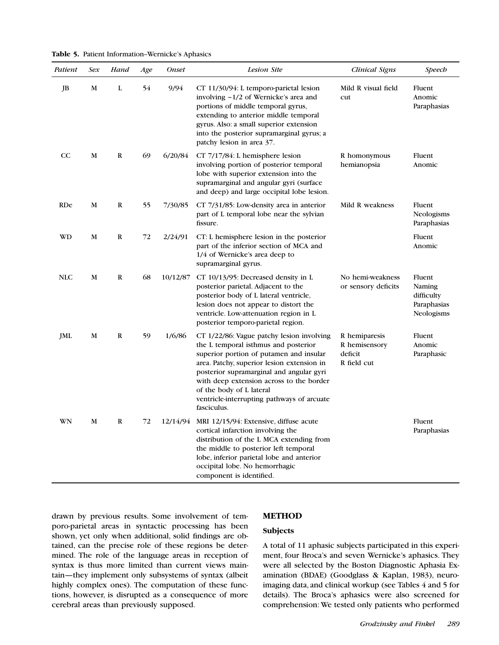|  |  | Table 5. Patient Information-Wernicke's Aphasics |  |  |
|--|--|--------------------------------------------------|--|--|
|--|--|--------------------------------------------------|--|--|

| Patient    | Sex | Hand | Age | <b>Onset</b> | Lesion Site                                                                                                                                                                                                                                                                                                                                                 | Clinical Signs                                           | <b>Speech</b>                                               |
|------------|-----|------|-----|--------------|-------------------------------------------------------------------------------------------------------------------------------------------------------------------------------------------------------------------------------------------------------------------------------------------------------------------------------------------------------------|----------------------------------------------------------|-------------------------------------------------------------|
| JВ         | M   | L    | 54  | 9/94         | CT 11/30/94: L temporo-parietal lesion<br>involving $\sim 1/2$ of Wernicke's area and<br>portions of middle temporal gyrus,<br>extending to anterior middle temporal<br>gyrus. Also: a small superior extension<br>into the posterior supramarginal gyrus; a<br>patchy lesion in area 37.                                                                   | Mild R visual field<br>cut                               | Fluent<br>Anomic<br>Paraphasias                             |
| CC         | M   | R    | 69  | 6/20/84      | CT $7/17/84$ : L hemisphere lesion<br>involving portion of posterior temporal<br>lobe with superior extension into the<br>supramarginal and angular gyri (surface<br>and deep) and large occipital lobe lesion.                                                                                                                                             | R homonymous<br>hemianopsia                              | Fluent<br>Anomic                                            |
| RDe        | M   | R    | 55  | 7/30/85      | CT 7/31/85: Low-density area in anterior<br>part of L temporal lobe near the sylvian<br>fissure.                                                                                                                                                                                                                                                            | Mild R weakness                                          | Fluent<br>Neologisms<br>Paraphasias                         |
| WD         | M   | R    | 72  | 2/24/91      | CT: L hemisphere lesion in the posterior<br>part of the inferior section of MCA and<br>1/4 of Wernicke's area deep to<br>supramarginal gyrus.                                                                                                                                                                                                               |                                                          | Fluent<br>Anomic                                            |
| <b>NLC</b> | M   | R    | 68  | 10/12/87     | CT 10/13/95: Decreased density in L<br>posterior parietal. Adjacent to the<br>posterior body of L lateral ventricle,<br>lesion does not appear to distort the<br>ventricle. Low-attenuation region in L<br>posterior temporo-parietal region.                                                                                                               | No hemi-weakness<br>or sensory deficits                  | Fluent<br>Naming<br>difficulty<br>Paraphasias<br>Neologisms |
| JML        | M   | R    | 59  | 1/6/86       | CT 1/22/86: Vague patchy lesion involving<br>the L temporal isthmus and posterior<br>superior portion of putamen and insular<br>area. Patchy, superior lesion extension in<br>posterior supramarginal and angular gyri<br>with deep extension across to the border<br>of the body of L lateral<br>ventricle-interrupting pathways of arcuate<br>fasciculus. | R hemiparesis<br>R hemisensory<br>deficit<br>R field cut | Fluent<br>Anomic<br>Paraphasic                              |
| WN         | M   | R    | 72  | 12/14/94     | MRI 12/15/94: Extensive, diffuse acute<br>cortical infarction involving the<br>distribution of the L MCA extending from<br>the middle to posterior left temporal<br>lobe, inferior parietal lobe and anterior<br>occipital lobe. No hemorrhagic<br>component is identified.                                                                                 |                                                          | Fluent<br>Paraphasias                                       |

drawn by previous results. Some involvement of temporo-parietal areas in syntactic processing has been shown, yet only when additional, solid findings are obtained, can the precise role of these regions be determined. The role of the language areas in reception of syntax is thus more limited than current views maintain—they implement only subsystems of syntax (albeit highly complex ones). The computation of these functions, however, is disrupted as a consequence of more cerebral areas than previously supposed.

## **METHOD**

#### **Subjects**

A total of 11 aphasic subjects participated in this experiment, four Broca's and seven Wernicke's aphasics. They were all selected by the Boston Diagnostic Aphasia Examination (BDAE) (Goodglass & Kaplan, 1983), neuroimaging data, and clinical workup (see Tables 4 and 5 for details). The Broca's aphasics were also screened for comprehension: We tested only patients who performed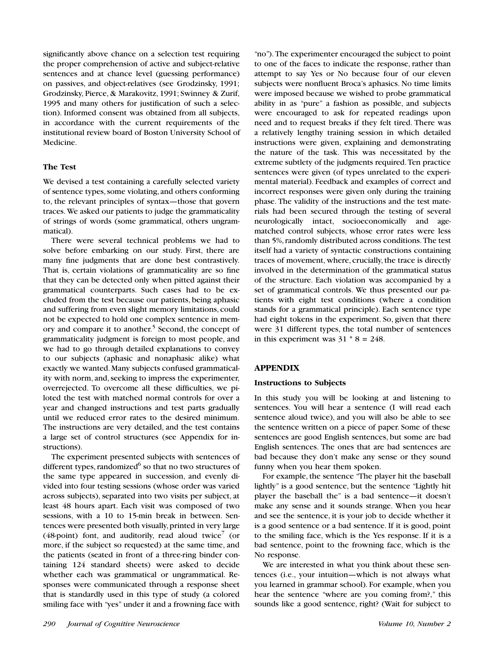significantly above chance on a selection test requiring the proper comprehension of active and subject-relative sentences and at chance level (guessing performance) on passives, and object-relatives (see Grodzinsky, 1991; Grodzinsky, Pierce, & Marakovitz, 1991; Swinney & Zurif, 1995 and many others for justification of such a selection). Informed consent was obtained from all subjects, in accordance with the current requirements of the institutional review board of Boston University School of Medicine.

## **The Test**

We devised a test containing a carefully selected variety of sentence types, some violating, and others conforming to, the relevant principles of syntax—those that govern traces. We asked our patients to judge the grammaticality of strings of words (some grammatical, others ungrammatical).

There were several technical problems we had to solve before embarking on our study. First, there are many fine judgments that are done best contrastively. That is, certain violations of grammaticality are so fine that they can be detected only when pitted against their grammatical counterparts. Such cases had to be excluded from the test because our patients, being aphasic and suffering from even slight memory limitations, could not be expected to hold one complex sentence in memory and compare it to another.<sup>5</sup> Second, the concept of grammaticality judgment is foreign to most people, and we had to go through detailed explanations to convey to our subjects (aphasic and nonaphasic alike) what exactly we wanted. Many subjects confused grammaticality with norm, and, seeking to impress the experimenter, overrejected. To overcome all these difficulties, we piloted the test with matched normal controls for over a year and changed instructions and test parts gradually until we reduced error rates to the desired minimum. The instructions are very detailed, and the test contains a large set of control structures (see Appendix for instructions).

The experiment presented subjects with sentences of different types, randomized $^6$  so that no two structures of the same type appeared in succession, and evenly divided into four testing sessions (whose order was varied across subjects), separated into two visits per subject, at least 48 hours apart. Each visit was composed of two sessions, with a 10 to 15-min break in between. Sentences were presented both visually, printed in very large (48-point) font, and auditorily, read aloud twice<sup>7</sup> (or more, if the subject so requested) at the same time, and the patients (seated in front of a three-ring binder containing 124 standard sheets) were asked to decide whether each was grammatical or ungrammatical. Responses were communicated through a response sheet that is standardly used in this type of study (a colored smiling face with "yes" under it and a frowning face with

"no"). The experimenter encouraged the subject to point to one of the faces to indicate the response, rather than attempt to say Yes or No because four of our eleven subjects were nonfluent Broca's aphasics. No time limits were imposed because we wished to probe grammatical ability in as "pure" a fashion as possible, and subjects were encouraged to ask for repeated readings upon need and to request breaks if they felt tired. There was a relatively lengthy training session in which detailed instructions were given, explaining and demonstrating the nature of the task. This was necessitated by the extreme subtlety of the judgments required. Ten practice sentences were given (of types unrelated to the experimental material). Feedback and examples of correct and incorrect responses were given only during the training phase. The validity of the instructions and the test materials had been secured through the testing of several neurologically intact, socioeconomically and agematched control subjects, whose error rates were less than 5%, randomly distributed across conditions. The test itself had a variety of syntactic constructions containing traces of movement, where, crucially, the trace is directly involved in the determination of the grammatical status of the structure. Each violation was accompanied by a set of grammatical controls. We thus presented our patients with eight test conditions (where a condition stands for a grammatical principle). Each sentence type had eight tokens in the experiment. So, given that there were 31 different types, the total number of sentences in this experiment was  $31 * 8 = 248$ .

# **APPENDIX**

#### **Instructions to Subjects**

In this study you will be looking at and listening to sentences. You will hear a sentence (I will read each sentence aloud twice), and you will also be able to see the sentence written on a piece of paper. Some of these sentences are good English sentences, but some are bad English sentences. The ones that are bad sentences are bad because they don't make any sense or they sound funny when you hear them spoken.

For example, the sentence "The player hit the baseball lightly" is a good sentence, but the sentence "Lightly hit player the baseball the" is a bad sentence—it doesn't make any sense and it sounds strange. When you hear and see the sentence, it is your job to decide whether it is a good sentence or a bad sentence. If it is good, point to the smiling face, which is the Yes response. If it is a bad sentence, point to the frowning face, which is the No response.

We are interested in what you think about these sentences (i.e., your intuition—which is not always what you learned in grammar school). For example, when you hear the sentence "where are you coming from?," this sounds like a good sentence, right? (Wait for subject to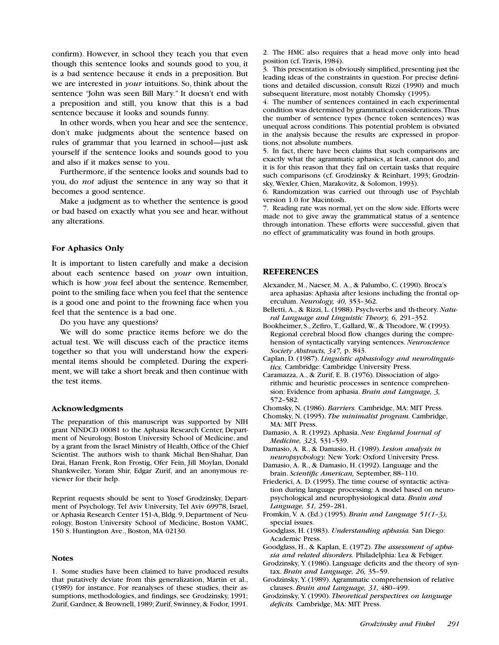confirm). However, in school they teach you that even though this sentence looks and sounds good to you, it is a bad sentence because it ends in a preposition. But we are interested in *your* intuitions. So, think about the sentence "John was seen Bill Mary." It doesn't end with a preposition and still, you know that this is a bad sentence because it looks and sounds funny.

In other words, when you hear and see the sentence, don't make judgments about the sentence based on rules of grammar that you learned in school—just ask yourself if the sentence looks and sounds good to you and also if it makes sense to you.

Furthermore, if the sentence looks and sounds bad to you, do *not* adjust the sentence in any way so that it becomes a good sentence.

Make a judgment as to whether the sentence is good or bad based on exactly what you see and hear, without any alterations.

#### **For Aphasics Only**

It is important to listen carefully and make a decision about each sentence based on *your* own intuition, which is how *you* feel about the sentence. Remember, point to the smiling face when you feel that the sentence is a good one and point to the frowning face when you feel that the sentence is a bad one.

Do you have any questions?

We will do some practice items before we do the actual test. We will discuss each of the practice items together so that you will understand how the experimental items should be completed. During the experiment, we will take a short break and then continue with the test items.

#### **Acknowledgments**

The preparation of this manuscript was supported by NIH grant NINDCD 00081 to the Aphasia Research Center, Department of Neurology, Boston University School of Medicine, and by a grant from the Israel Ministry of Health, Office of the Chief Scientist. The authors wish to thank Michal Ben-Shahar, Dan Drai, Hanan Frenk, Ron Frostig, Ofer Fein, Jill Moylan, Donald Shankweiler, Yoram Shir, Edgar Zurif, and an anonymous reviewer for their help.

Reprint requests should be sent to Yosef Grodzinsky, Department of Psychology, Tel Aviv University, Tel Aviv 69978, Israel, or Aphasia Research Center 151-A, Bldg. 9, Department of Neurology, Boston University School of Medicine, Boston VAMC, 150 S. Huntington Ave., Boston, MA 02130.

#### **Notes**

1. Some studies have been claimed to have produced results that putatively deviate from this generalization, Martin et al., (1989) for instance. For reanalyses of these studies, their assumptions, methodologies, and findings, see Grodzinsky, 1991; Zurif, Gardner, & Brownell, 1989; Zurif, Swinney, & Fodor, 1991. 2. The HMC also requires that a head move only into head position (cf. Travis, 1984).

3. This presentation is obviously simplified, presenting just the leading ideas of the constraints in question. For precise definitions and detailed discussion, consult Rizzi (1990) and much subsequent literature, most notably Chomsky (1995).

4. The number of sentences contained in each experimental condition was determined by grammatical considerations. Thus the number of sentence types (hence token sentences) was unequal across conditions. This potential problem is obviated in the analysis because the results are expressed in proportions, not absolute numbers.

5. In fact, there have been claims that such comparisons are exactly what the agrammatic aphasics, at least, cannot do, and it is for this reason that they fail on certain tasks that require such comparisons (cf. Grodzinsky & Reinhart, 1993; Grodzinsky, Wexler, Chien, Marakovitz, & Solomon, 1993).

6. Randomization was carried out through use of Psychlab version 1.0 for Macintosh.

7. Reading rate was normal, yet on the slow side. Efforts were made not to give away the grammatical status of a sentence through intonation. These efforts were successful, given that no effect of grammaticality was found in both groups.

#### **REFERENCES**

- Alexander, M., Naeser, M. A., & Palumbo, C. (1990). Broca's area aphasias: Aphasia after lesions including the frontal operculum. *Neurology, 40,* 353–362.
- Belletti, A., & Rizzi, L. (1988). Psych-verbs and th-theory. *Natural Language and Linguistic Theory, 6,* 291–352.
- Bookheimer, S., Zefiro, T., Gallard, W., & Theodore, W. (1993). Regional cerebral blood flow changes during the comprehension of syntactically varying sentences. *Neuroscience Society Abstracts, 347,* p. 843.
- Caplan, D. (1987). *Linguistic aphasiology and neurolinguistics.* Cambridge: Cambridge University Press.
- Caramazza, A., & Zurif, E. B. (1976). Dissociation of algorithmic and heuristic processes in sentence comprehension: Evidence from aphasia. *Brain and Language, 3,* 572–582.
- Chomsky, N. (1986). *Barriers.* Cambridge, MA: MIT Press.
- Chomsky, N. (1995). *The minimalist program.* Cambridge, MA: MIT Press.
- Damasio, A. R. (1992). Aphasia. *New England Journal of Medicine, 323,* 531–539.
- Damasio, A. R., & Damasio, H. (1989). *Lesion analysis in neuropsychology.* New York: Oxford University Press.
- Damasio, A. R., & Damasio, H. (1992). Language and the brain. *Scientific American*, September, 88-110.
- Friederici, A. D. (1995). The time course of syntactic activation during language processing: A model based on neuropsychological and neurophysiological data. *Brain and Language, 51,* 259–281.
- Fromkin, V. A. (Ed.) (1995). *Brain and Language 51(1–3),* special issues.
- Goodglass, H. (1983). *Understanding aphasia.* San Diego: Academic Press.
- Goodglass, H., & Kaplan, E. (1972). *The assessment of aphasia and related disorders.* Philadelphia: Lea & Febiger.
- Grodzinsky, Y. (1986). Language deficits and the theory of syntax. *Brain and Language, 26,* 35–59.
- Grodzinsky, Y. (1989). Agrammatic comprehension of relative clauses. *Brain and Language, 31,* 480–499.
- Grodzinsky, Y. (1990). *Theoretical perspectives on language* deficits. Cambridge, MA: MIT Press.